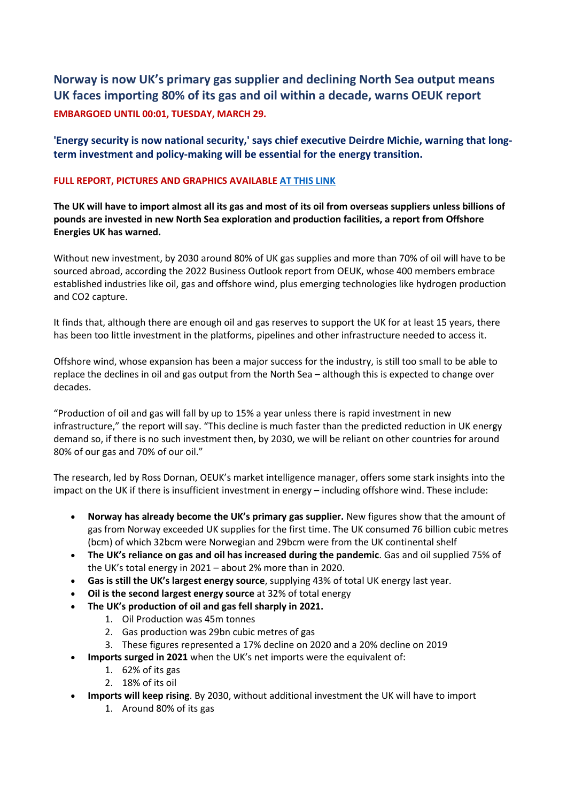## **Norway is now UK's primary gas supplier and declining North Sea output means UK faces importing 80% of its gas and oil within a decade, warns OEUK report EMBARGOED UNTIL 00:01, TUESDAY, MARCH 29.**

**'Energy security is now national security,' says chief executive Deirdre Michie, warning that longterm investment and policy-making will be essential for the energy transition.**

## **FULL REPORT, PICTURES AND GRAPHICS AVAILABLE [AT THIS LINK](http://track.vuelio.uk.com/z.z?l=aHR0cHM6Ly9vZXVrLW15LnNoYXJlcG9pbnQuY29tLzpmOi9nL3BlcnNvbmFsL2psZWFrZV9vZXVrX29yZ191ay9FbExTQXJVNmlMeEZwVUVIb1VxMXNOc0I3UUhRdDJIeERySnZaUEdKNTZzaEVnP2U9OThKTjht&r=13729740402&d=16056355&p=1&t=h&h=e97f12d2705c1b0c7328efb68cfa820e)**

**The UK will have to import almost all its gas and most of its oil from overseas suppliers unless billions of pounds are invested in new North Sea exploration and production facilities, a report from Offshore Energies UK has warned.**

Without new investment, by 2030 around 80% of UK gas supplies and more than 70% of oil will have to be sourced abroad, according the 2022 Business Outlook report from OEUK, whose 400 members embrace established industries like oil, gas and offshore wind, plus emerging technologies like hydrogen production and CO2 capture.

It finds that, although there are enough oil and gas reserves to support the UK for at least 15 years, there has been too little investment in the platforms, pipelines and other infrastructure needed to access it.

Offshore wind, whose expansion has been a major success for the industry, is still too small to be able to replace the declines in oil and gas output from the North Sea – although this is expected to change over decades.

"Production of oil and gas will fall by up to 15% a year unless there is rapid investment in new infrastructure," the report will say. "This decline is much faster than the predicted reduction in UK energy demand so, if there is no such investment then, by 2030, we will be reliant on other countries for around 80% of our gas and 70% of our oil."

The research, led by Ross Dornan, OEUK's market intelligence manager, offers some stark insights into the impact on the UK if there is insufficient investment in energy – including offshore wind. These include:

- **Norway has already become the UK's primary gas supplier.** New figures show that the amount of gas from Norway exceeded UK supplies for the first time. The UK consumed 76 billion cubic metres (bcm) of which 32bcm were Norwegian and 29bcm were from the UK continental shelf
- **The UK's reliance on gas and oil has increased during the pandemic**. Gas and oil supplied 75% of the UK's total energy in 2021 – about 2% more than in 2020.
- **Gas is still the UK's largest energy source**, supplying 43% of total UK energy last year.
- **Oil is the second largest energy source** at 32% of total energy
- **The UK's production of oil and gas fell sharply in 2021.**
	- 1. Oil Production was 45m tonnes
	- 2. Gas production was 29bn cubic metres of gas
	- 3. These figures represented a 17% decline on 2020 and a 20% decline on 2019
- **Imports surged in 2021** when the UK's net imports were the equivalent of:
	- 1. 62% of its gas
	- 2. 18% of its oil
- **Imports will keep rising**. By 2030, without additional investment the UK will have to import
	- 1. Around 80% of its gas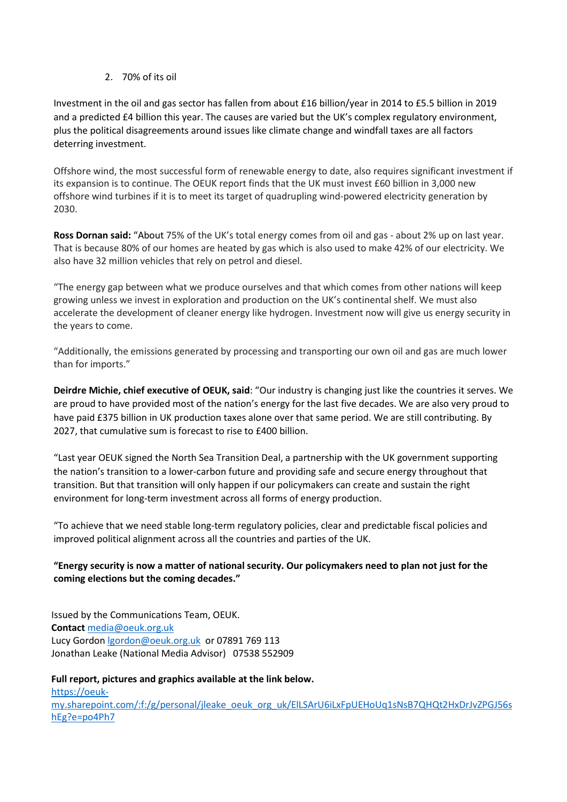2. 70% of its oil

Investment in the oil and gas sector has fallen from about £16 billion/year in 2014 to £5.5 billion in 2019 and a predicted £4 billion this year. The causes are varied but the UK's complex regulatory environment, plus the political disagreements around issues like climate change and windfall taxes are all factors deterring investment.

Offshore wind, the most successful form of renewable energy to date, also requires significant investment if its expansion is to continue. The OEUK report finds that the UK must invest £60 billion in 3,000 new offshore wind turbines if it is to meet its target of quadrupling wind-powered electricity generation by 2030.

**Ross Dornan said:** "About 75% of the UK's total energy comes from oil and gas - about 2% up on last year. That is because 80% of our homes are heated by gas which is also used to make 42% of our electricity. We also have 32 million vehicles that rely on petrol and diesel.

"The energy gap between what we produce ourselves and that which comes from other nations will keep growing unless we invest in exploration and production on the UK's continental shelf. We must also accelerate the development of cleaner energy like hydrogen. Investment now will give us energy security in the years to come.

"Additionally, the emissions generated by processing and transporting our own oil and gas are much lower than for imports."

**Deirdre Michie, chief executive of OEUK, said**: "Our industry is changing just like the countries it serves. We are proud to have provided most of the nation's energy for the last five decades. We are also very proud to have paid £375 billion in UK production taxes alone over that same period. We are still contributing. By 2027, that cumulative sum is forecast to rise to £400 billion.

"Last year OEUK signed the North Sea Transition Deal, a partnership with the UK government supporting the nation's transition to a lower-carbon future and providing safe and secure energy throughout that transition. But that transition will only happen if our policymakers can create and sustain the right environment for long-term investment across all forms of energy production.

"To achieve that we need stable long-term regulatory policies, clear and predictable fiscal policies and improved political alignment across all the countries and parties of the UK.

## **"Energy security is now a matter of national security. Our policymakers need to plan not just for the coming elections but the coming decades."**

Issued by the Communications Team, OEUK. **Contact** [media@oeuk.org.uk](mailto:media@oeuk.org.uk) Lucy Gordon [lgordon@oeuk.org.uk](mailto:lgordon@oeuk.org.uk) or 07891 769 113 Jonathan Leake (National Media Advisor) 07538 552909

**Full report, pictures and graphics available at the link below.** [https://oeuk](http://track.vuelio.uk.com/z.z?l=aHR0cHM6Ly9vZXVrLW15LnNoYXJlcG9pbnQuY29tLzpmOi9nL3BlcnNvbmFsL2psZWFrZV9vZXVrX29yZ191ay9FbExTQXJVNmlMeEZwVUVIb1VxMXNOc0I3UUhRdDJIeERySnZaUEdKNTZzaEVnP2U9cG80UGg3&r=13729740402&d=16056355&p=1&t=h&h=67a7e9fc16b735e2364ccaa05a6bfaf6)[my.sharepoint.com/:f:/g/personal/jleake\\_oeuk\\_org\\_uk/ElLSArU6iLxFpUEHoUq1sNsB7QHQt2HxDrJvZPGJ56s](http://track.vuelio.uk.com/z.z?l=aHR0cHM6Ly9vZXVrLW15LnNoYXJlcG9pbnQuY29tLzpmOi9nL3BlcnNvbmFsL2psZWFrZV9vZXVrX29yZ191ay9FbExTQXJVNmlMeEZwVUVIb1VxMXNOc0I3UUhRdDJIeERySnZaUEdKNTZzaEVnP2U9cG80UGg3&r=13729740402&d=16056355&p=1&t=h&h=67a7e9fc16b735e2364ccaa05a6bfaf6) [hEg?e=po4Ph7](http://track.vuelio.uk.com/z.z?l=aHR0cHM6Ly9vZXVrLW15LnNoYXJlcG9pbnQuY29tLzpmOi9nL3BlcnNvbmFsL2psZWFrZV9vZXVrX29yZ191ay9FbExTQXJVNmlMeEZwVUVIb1VxMXNOc0I3UUhRdDJIeERySnZaUEdKNTZzaEVnP2U9cG80UGg3&r=13729740402&d=16056355&p=1&t=h&h=67a7e9fc16b735e2364ccaa05a6bfaf6)